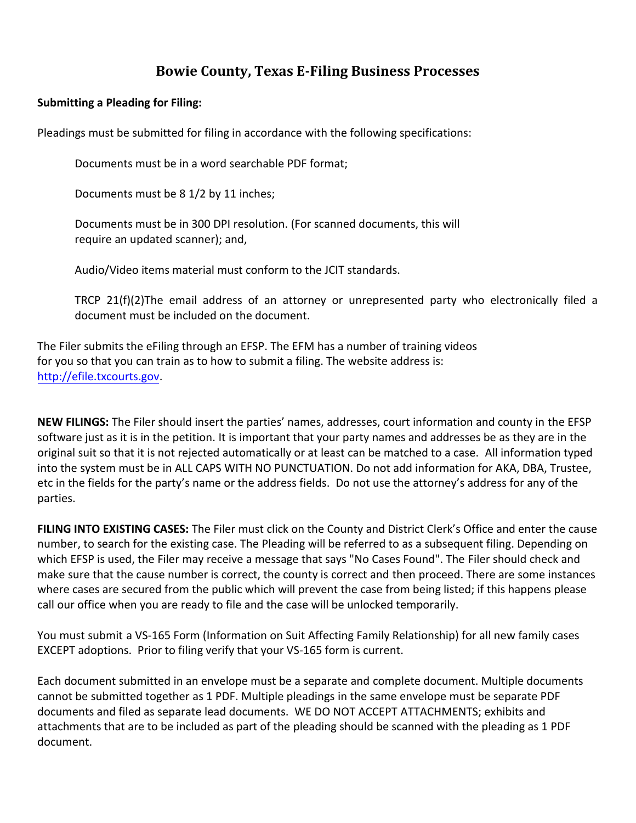# **Bowie County, Texas E-Filing Business Processes**

#### **Submitting a Pleading for Filing:**

Pleadings must be submitted for filing in accordance with the following specifications:

Documents must be in a word searchable PDF format;

Documents must be 8 1/2 by 11 inches;

Documents must be in 300 DPI resolution. (For scanned documents, this will require an updated scanner); and,

Audio/Video items material must conform to the JCIT standards.

TRCP 21(f)(2)The email address of an attorney or unrepresented party who electronically filed a document must be included on the document.

The Filer submits the eFiling through an EFSP. The EFM has a number of training videos for you so that you can train as to how to submit a filing. The website address is: http://efile.txcourts.gov.

**NEW FILINGS:** The Filer should insert the parties' names, addresses, court information and county in the EFSP software just as it is in the petition. It is important that your party names and addresses be as they are in the original suit so that it is not rejected automatically or at least can be matched to a case. All information typed into the system must be in ALL CAPS WITH NO PUNCTUATION. Do not add information for AKA, DBA, Trustee, etc in the fields for the party's name or the address fields. Do not use the attorney's address for any of the parties.

**FILING INTO EXISTING CASES:** The Filer must click on the County and District Clerk's Office and enter the cause number, to search for the existing case. The Pleading will be referred to as a subsequent filing. Depending on which EFSP is used, the Filer may receive a message that says "No Cases Found". The Filer should check and make sure that the cause number is correct, the county is correct and then proceed. There are some instances where cases are secured from the public which will prevent the case from being listed; if this happens please call our office when you are ready to file and the case will be unlocked temporarily.

You must submit a VS-165 Form (Information on Suit Affecting Family Relationship) for all new family cases EXCEPT adoptions. Prior to filing verify that your VS-165 form is current.

Each document submitted in an envelope must be a separate and complete document. Multiple documents cannot be submitted together as 1 PDF. Multiple pleadings in the same envelope must be separate PDF documents and filed as separate lead documents. WE DO NOT ACCEPT ATTACHMENTS; exhibits and attachments that are to be included as part of the pleading should be scanned with the pleading as 1 PDF document.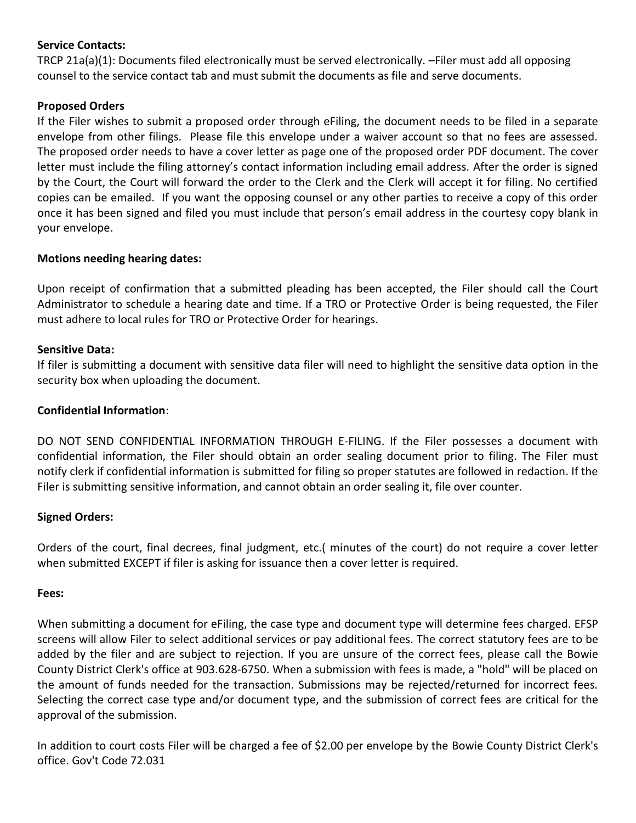# **Service Contacts:**

TRCP 21a(a)(1): Documents filed electronically must be served electronically. –Filer must add all opposing counsel to the service contact tab and must submit the documents as file and serve documents.

# **Proposed Orders**

If the Filer wishes to submit a proposed order through eFiling, the document needs to be filed in a separate envelope from other filings. Please file this envelope under a waiver account so that no fees are assessed. The proposed order needs to have a cover letter as page one of the proposed order PDF document. The cover letter must include the filing attorney's contact information including email address. After the order is signed by the Court, the Court will forward the order to the Clerk and the Clerk will accept it for filing. No certified copies can be emailed. If you want the opposing counsel or any other parties to receive a copy of this order once it has been signed and filed you must include that person's email address in the courtesy copy blank in your envelope.

# **Motions needing hearing dates:**

Upon receipt of confirmation that a submitted pleading has been accepted, the Filer should call the Court Administrator to schedule a hearing date and time. If a TRO or Protective Order is being requested, the Filer must adhere to local rules for TRO or Protective Order for hearings.

# **Sensitive Data:**

If filer is submitting a document with sensitive data filer will need to highlight the sensitive data option in the security box when uploading the document.

# **Confidential Information**:

DO NOT SEND CONFIDENTIAL INFORMATION THROUGH E-FILING. If the Filer possesses a document with confidential information, the Filer should obtain an order sealing document prior to filing. The Filer must notify clerk if confidential information is submitted for filing so proper statutes are followed in redaction. If the Filer is submitting sensitive information, and cannot obtain an order sealing it, file over counter.

#### **Signed Orders:**

Orders of the court, final decrees, final judgment, etc.( minutes of the court) do not require a cover letter when submitted EXCEPT if filer is asking for issuance then a cover letter is required.

#### **Fees:**

When submitting a document for eFiling, the case type and document type will determine fees charged. EFSP screens will allow Filer to select additional services or pay additional fees. The correct statutory fees are to be added by the filer and are subject to rejection. If you are unsure of the correct fees, please call the Bowie County District Clerk's office at 903.628-6750. When a submission with fees is made, a "hold" will be placed on the amount of funds needed for the transaction. Submissions may be rejected/returned for incorrect fees. Selecting the correct case type and/or document type, and the submission of correct fees are critical for the approval of the submission.

In addition to court costs Filer will be charged a fee of \$2.00 per envelope by the Bowie County District Clerk's office. Gov't Code 72.031